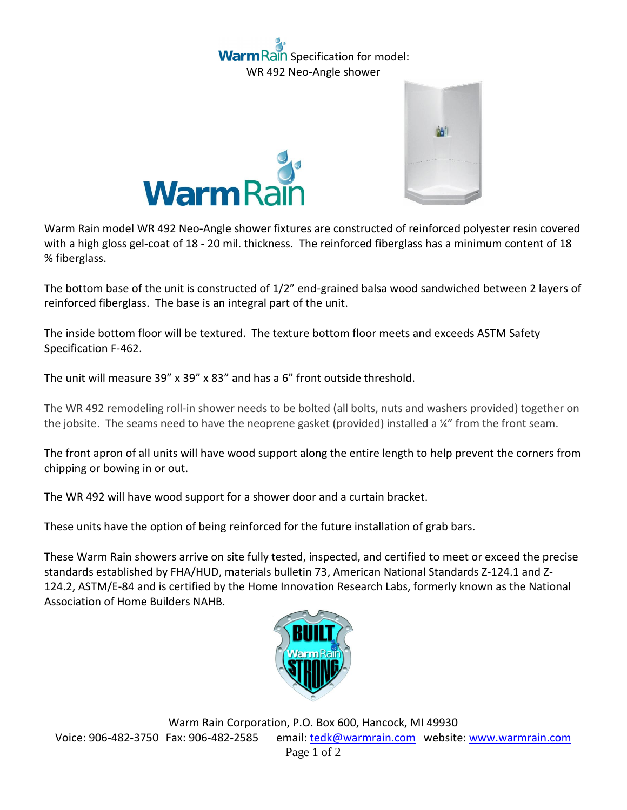## ain Specification for model: WR 492 Neo-Angle shower





Warm Rain model WR 492 Neo-Angle shower fixtures are constructed of reinforced polyester resin covered with a high gloss gel-coat of 18 - 20 mil. thickness. The reinforced fiberglass has a minimum content of 18 % fiberglass.

The bottom base of the unit is constructed of 1/2" end-grained balsa wood sandwiched between 2 layers of reinforced fiberglass. The base is an integral part of the unit.

The inside bottom floor will be textured. The texture bottom floor meets and exceeds ASTM Safety Specification F-462.

The unit will measure 39" x 39" x 83" and has a 6" front outside threshold.

The WR 492 remodeling roll-in shower needs to be bolted (all bolts, nuts and washers provided) together on the jobsite. The seams need to have the neoprene gasket (provided) installed a  $\frac{1}{4}$  from the front seam.

The front apron of all units will have wood support along the entire length to help prevent the corners from chipping or bowing in or out.

The WR 492 will have wood support for a shower door and a curtain bracket.

These units have the option of being reinforced for the future installation of grab bars.

These Warm Rain showers arrive on site fully tested, inspected, and certified to meet or exceed the precise standards established by FHA/HUD, materials bulletin 73, American National Standards Z-124.1 and Z-124.2, ASTM/E-84 and is certified by the Home Innovation Research Labs, formerly known as the National Association of Home Builders NAHB.